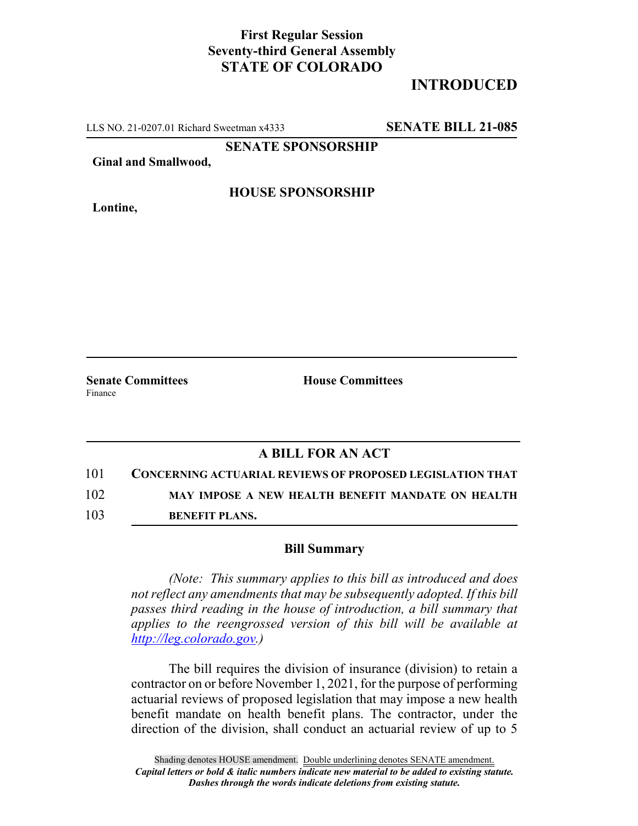## **First Regular Session Seventy-third General Assembly STATE OF COLORADO**

# **INTRODUCED**

LLS NO. 21-0207.01 Richard Sweetman x4333 **SENATE BILL 21-085**

**SENATE SPONSORSHIP**

**Ginal and Smallwood,**

**Lontine,**

#### **HOUSE SPONSORSHIP**

**Senate Committees House Committees** Finance

### **A BILL FOR AN ACT**

101 **CONCERNING ACTUARIAL REVIEWS OF PROPOSED LEGISLATION THAT**

102 **MAY IMPOSE A NEW HEALTH BENEFIT MANDATE ON HEALTH**

103 **BENEFIT PLANS.**

#### **Bill Summary**

*(Note: This summary applies to this bill as introduced and does not reflect any amendments that may be subsequently adopted. If this bill passes third reading in the house of introduction, a bill summary that applies to the reengrossed version of this bill will be available at http://leg.colorado.gov.)*

The bill requires the division of insurance (division) to retain a contractor on or before November 1, 2021, for the purpose of performing actuarial reviews of proposed legislation that may impose a new health benefit mandate on health benefit plans. The contractor, under the direction of the division, shall conduct an actuarial review of up to 5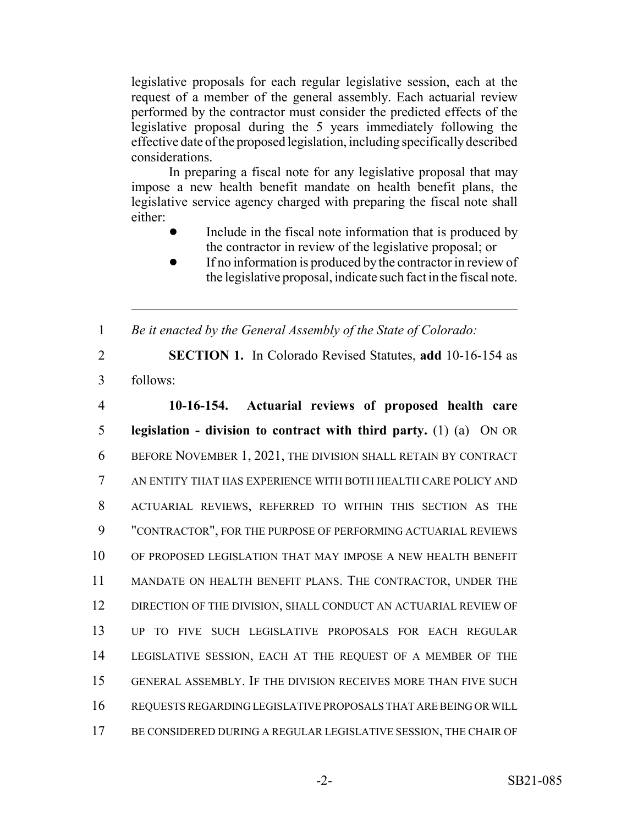legislative proposals for each regular legislative session, each at the request of a member of the general assembly. Each actuarial review performed by the contractor must consider the predicted effects of the legislative proposal during the 5 years immediately following the effective date of the proposed legislation, including specifically described considerations.

In preparing a fiscal note for any legislative proposal that may impose a new health benefit mandate on health benefit plans, the legislative service agency charged with preparing the fiscal note shall either:

- Include in the fiscal note information that is produced by the contractor in review of the legislative proposal; or
- If no information is produced by the contractor in review of the legislative proposal, indicate such fact in the fiscal note.

1 *Be it enacted by the General Assembly of the State of Colorado:*

2 **SECTION 1.** In Colorado Revised Statutes, **add** 10-16-154 as 3 follows:

 **10-16-154. Actuarial reviews of proposed health care legislation - division to contract with third party.** (1) (a) ON OR BEFORE NOVEMBER 1, 2021, THE DIVISION SHALL RETAIN BY CONTRACT AN ENTITY THAT HAS EXPERIENCE WITH BOTH HEALTH CARE POLICY AND ACTUARIAL REVIEWS, REFERRED TO WITHIN THIS SECTION AS THE "CONTRACTOR", FOR THE PURPOSE OF PERFORMING ACTUARIAL REVIEWS OF PROPOSED LEGISLATION THAT MAY IMPOSE A NEW HEALTH BENEFIT MANDATE ON HEALTH BENEFIT PLANS. THE CONTRACTOR, UNDER THE DIRECTION OF THE DIVISION, SHALL CONDUCT AN ACTUARIAL REVIEW OF UP TO FIVE SUCH LEGISLATIVE PROPOSALS FOR EACH REGULAR LEGISLATIVE SESSION, EACH AT THE REQUEST OF A MEMBER OF THE GENERAL ASSEMBLY. IF THE DIVISION RECEIVES MORE THAN FIVE SUCH REQUESTS REGARDING LEGISLATIVE PROPOSALS THAT ARE BEING OR WILL BE CONSIDERED DURING A REGULAR LEGISLATIVE SESSION, THE CHAIR OF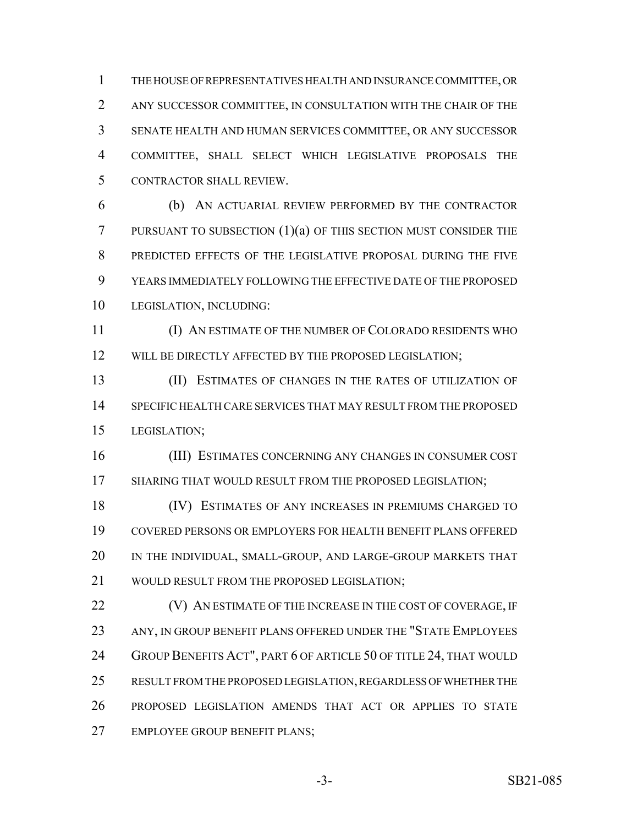THE HOUSE OF REPRESENTATIVES HEALTH AND INSURANCE COMMITTEE, OR ANY SUCCESSOR COMMITTEE, IN CONSULTATION WITH THE CHAIR OF THE SENATE HEALTH AND HUMAN SERVICES COMMITTEE, OR ANY SUCCESSOR COMMITTEE, SHALL SELECT WHICH LEGISLATIVE PROPOSALS THE CONTRACTOR SHALL REVIEW.

 (b) AN ACTUARIAL REVIEW PERFORMED BY THE CONTRACTOR PURSUANT TO SUBSECTION (1)(a) OF THIS SECTION MUST CONSIDER THE PREDICTED EFFECTS OF THE LEGISLATIVE PROPOSAL DURING THE FIVE YEARS IMMEDIATELY FOLLOWING THE EFFECTIVE DATE OF THE PROPOSED LEGISLATION, INCLUDING:

 (I) AN ESTIMATE OF THE NUMBER OF COLORADO RESIDENTS WHO 12 WILL BE DIRECTLY AFFECTED BY THE PROPOSED LEGISLATION;

 (II) ESTIMATES OF CHANGES IN THE RATES OF UTILIZATION OF SPECIFIC HEALTH CARE SERVICES THAT MAY RESULT FROM THE PROPOSED LEGISLATION;

 (III) ESTIMATES CONCERNING ANY CHANGES IN CONSUMER COST SHARING THAT WOULD RESULT FROM THE PROPOSED LEGISLATION;

 (IV) ESTIMATES OF ANY INCREASES IN PREMIUMS CHARGED TO COVERED PERSONS OR EMPLOYERS FOR HEALTH BENEFIT PLANS OFFERED IN THE INDIVIDUAL, SMALL-GROUP, AND LARGE-GROUP MARKETS THAT 21 WOULD RESULT FROM THE PROPOSED LEGISLATION:

**(V) AN ESTIMATE OF THE INCREASE IN THE COST OF COVERAGE, IF** 23 ANY, IN GROUP BENEFIT PLANS OFFERED UNDER THE "STATE EMPLOYEES 24 GROUP BENEFITS ACT", PART 6 OF ARTICLE 50 OF TITLE 24, THAT WOULD RESULT FROM THE PROPOSED LEGISLATION, REGARDLESS OF WHETHER THE PROPOSED LEGISLATION AMENDS THAT ACT OR APPLIES TO STATE EMPLOYEE GROUP BENEFIT PLANS;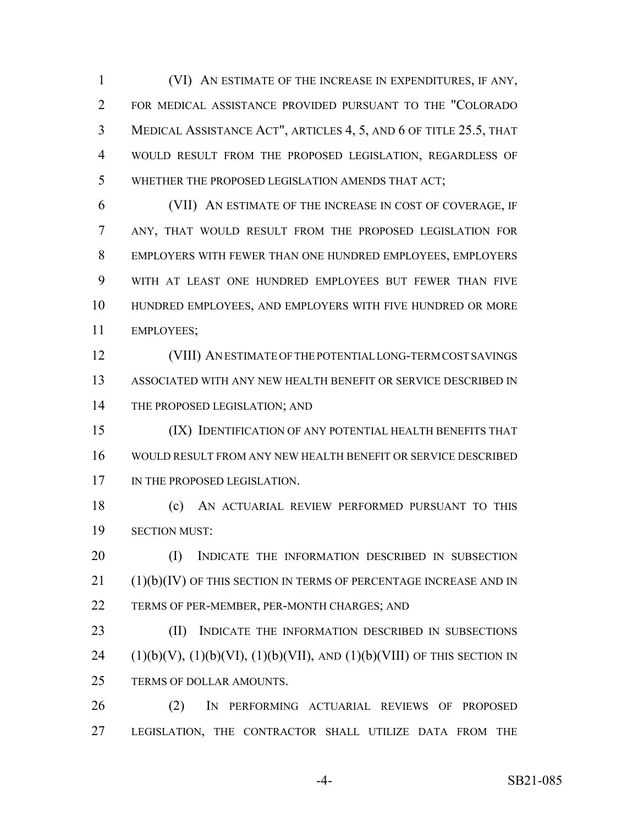(VI) AN ESTIMATE OF THE INCREASE IN EXPENDITURES, IF ANY, FOR MEDICAL ASSISTANCE PROVIDED PURSUANT TO THE "COLORADO MEDICAL ASSISTANCE ACT", ARTICLES 4, 5, AND 6 OF TITLE 25.5, THAT WOULD RESULT FROM THE PROPOSED LEGISLATION, REGARDLESS OF WHETHER THE PROPOSED LEGISLATION AMENDS THAT ACT;

 (VII) AN ESTIMATE OF THE INCREASE IN COST OF COVERAGE, IF ANY, THAT WOULD RESULT FROM THE PROPOSED LEGISLATION FOR EMPLOYERS WITH FEWER THAN ONE HUNDRED EMPLOYEES, EMPLOYERS WITH AT LEAST ONE HUNDRED EMPLOYEES BUT FEWER THAN FIVE HUNDRED EMPLOYEES, AND EMPLOYERS WITH FIVE HUNDRED OR MORE EMPLOYEES;

 (VIII) AN ESTIMATE OF THE POTENTIAL LONG-TERM COST SAVINGS ASSOCIATED WITH ANY NEW HEALTH BENEFIT OR SERVICE DESCRIBED IN 14 THE PROPOSED LEGISLATION; AND

 (IX) IDENTIFICATION OF ANY POTENTIAL HEALTH BENEFITS THAT WOULD RESULT FROM ANY NEW HEALTH BENEFIT OR SERVICE DESCRIBED 17 IN THE PROPOSED LEGISLATION.

 (c) AN ACTUARIAL REVIEW PERFORMED PURSUANT TO THIS SECTION MUST:

20 (I) INDICATE THE INFORMATION DESCRIBED IN SUBSECTION (1)(b)(IV) OF THIS SECTION IN TERMS OF PERCENTAGE INCREASE AND IN TERMS OF PER-MEMBER, PER-MONTH CHARGES; AND

23 (II) INDICATE THE INFORMATION DESCRIBED IN SUBSECTIONS 24 (1)(b)(V), (1)(b)(VI), (1)(b)(VII), AND (1)(b)(VIII) OF THIS SECTION IN TERMS OF DOLLAR AMOUNTS.

 (2) IN PERFORMING ACTUARIAL REVIEWS OF PROPOSED LEGISLATION, THE CONTRACTOR SHALL UTILIZE DATA FROM THE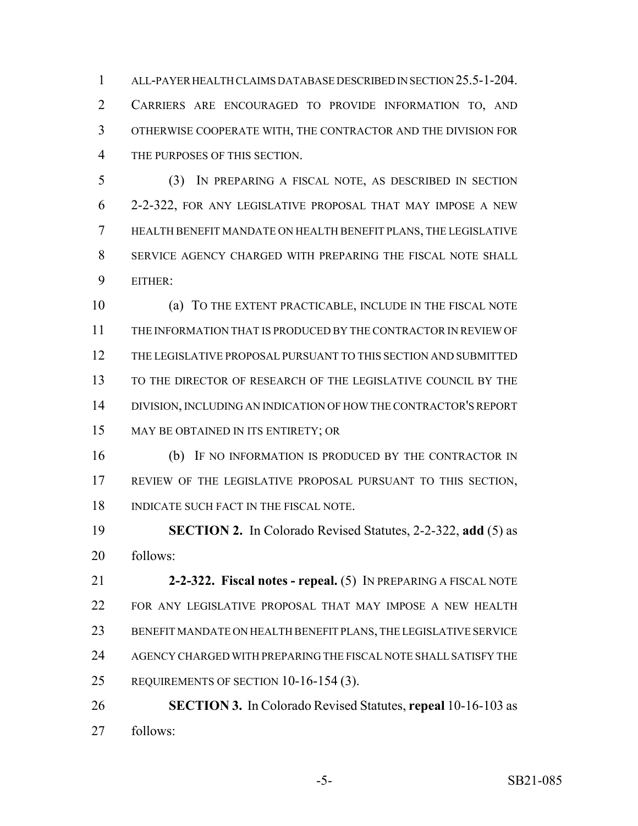ALL-PAYER HEALTH CLAIMS DATABASE DESCRIBED IN SECTION 25.5-1-204. CARRIERS ARE ENCOURAGED TO PROVIDE INFORMATION TO, AND OTHERWISE COOPERATE WITH, THE CONTRACTOR AND THE DIVISION FOR THE PURPOSES OF THIS SECTION.

 (3) IN PREPARING A FISCAL NOTE, AS DESCRIBED IN SECTION 2-2-322, FOR ANY LEGISLATIVE PROPOSAL THAT MAY IMPOSE A NEW HEALTH BENEFIT MANDATE ON HEALTH BENEFIT PLANS, THE LEGISLATIVE SERVICE AGENCY CHARGED WITH PREPARING THE FISCAL NOTE SHALL EITHER:

 (a) TO THE EXTENT PRACTICABLE, INCLUDE IN THE FISCAL NOTE THE INFORMATION THAT IS PRODUCED BY THE CONTRACTOR IN REVIEW OF THE LEGISLATIVE PROPOSAL PURSUANT TO THIS SECTION AND SUBMITTED TO THE DIRECTOR OF RESEARCH OF THE LEGISLATIVE COUNCIL BY THE DIVISION, INCLUDING AN INDICATION OF HOW THE CONTRACTOR'S REPORT MAY BE OBTAINED IN ITS ENTIRETY; OR

 (b) IF NO INFORMATION IS PRODUCED BY THE CONTRACTOR IN REVIEW OF THE LEGISLATIVE PROPOSAL PURSUANT TO THIS SECTION, 18 INDICATE SUCH FACT IN THE FISCAL NOTE.

 **SECTION 2.** In Colorado Revised Statutes, 2-2-322, **add** (5) as follows:

 **2-2-322. Fiscal notes - repeal.** (5) IN PREPARING A FISCAL NOTE FOR ANY LEGISLATIVE PROPOSAL THAT MAY IMPOSE A NEW HEALTH BENEFIT MANDATE ON HEALTH BENEFIT PLANS, THE LEGISLATIVE SERVICE AGENCY CHARGED WITH PREPARING THE FISCAL NOTE SHALL SATISFY THE REQUIREMENTS OF SECTION 10-16-154 (3).

 **SECTION 3.** In Colorado Revised Statutes, **repeal** 10-16-103 as follows: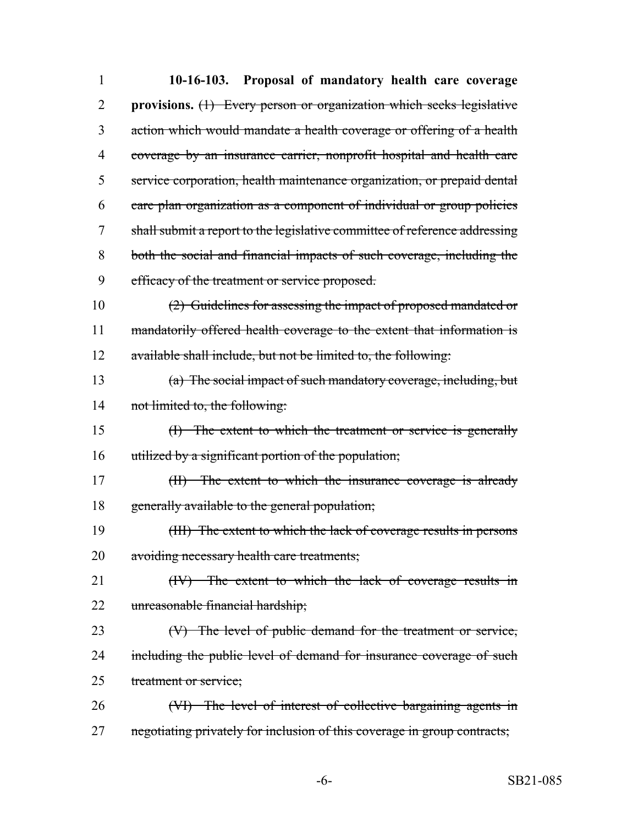| $\mathbf{1}$ | 10-16-103. Proposal of mandatory health care coverage                      |
|--------------|----------------------------------------------------------------------------|
| 2            | provisions. $(1)$ Every person or organization which seeks legislative     |
| 3            | action which would mandate a health coverage or offering of a health       |
| 4            | coverage by an insurance carrier, nonprofit hospital and health care       |
| 5            | service corporation, health maintenance organization, or prepaid dental    |
| 6            | care plan organization as a component of individual or group policies      |
| 7            | shall submit a report to the legislative committee of reference addressing |
| 8            | both the social and financial impacts of such coverage, including the      |
| 9            | efficacy of the treatment or service proposed.                             |
| 10           | $(2)$ Guidelines for assessing the impact of proposed mandated or          |
| 11           | mandatorily offered health coverage to the extent that information is      |
| 12           | available shall include, but not be limited to, the following:             |
| 13           | (a) The social impact of such mandatory coverage, including, but           |
| 14           | not limited to, the following:                                             |
| 15           | $(H)$ The extent to which the treatment or service is generally            |
| 16           | utilized by a significant portion of the population;                       |
| 17           | $(H)$ The extent to which the insurance coverage is already                |
| 18           | generally available to the general population;                             |
| 19           | (III) The extent to which the lack of coverage results in persons          |
| 20           | avoiding necessary health care treatments;                                 |
| 21           | (IV) The extent to which the lack of coverage results in                   |
| 22           | unreasonable financial hardship;                                           |
| 23           | (V) The level of public demand for the treatment or service,               |
| 24           | including the public level of demand for insurance coverage of such        |
| 25           | treatment or service;                                                      |
| 26           | (VI) The level of interest of collective bargaining agents in              |
| 27           | negotiating privately for inclusion of this coverage in group contracts;   |